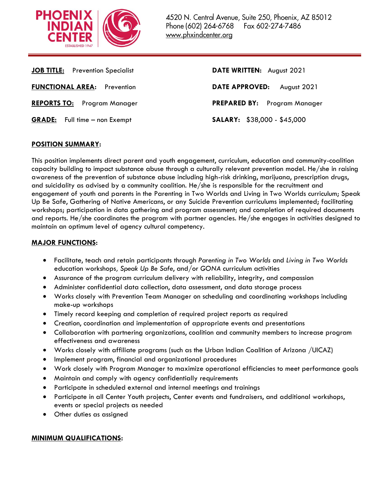

| <b>JOB TITLE:</b> Prevention Specialist | DATE WRITTEN: August 2021           |
|-----------------------------------------|-------------------------------------|
| <b>FUNCTIONAL AREA:</b> Prevention      | DATE APPROVED: August 2021          |
| <b>REPORTS TO:</b> Program Manager      | <b>PREPARED BY:</b> Program Manager |
| <b>GRADE:</b> Full time – non Exempt    | <b>SALARY:</b> $$38,000 - $45,000$  |
|                                         |                                     |

# **POSITION SUMMARY:**

This position implements direct parent and youth engagement, curriculum, education and community-coalition capacity building to impact substance abuse through a culturally relevant prevention model. He/she in raising awareness of the prevention of substance abuse including high-risk drinking, marijuana, prescription drugs, and suicidality as advised by a community coalition. He/she is responsible for the recruitment and engagement of youth and parents in the Parenting in Two Worlds and Living in Two Worlds curriculum; Speak Up Be Safe, Gathering of Native Americans, or any Suicide Prevention curriculums implemented; facilitating workshops; participation in data gathering and program assessment; and completion of required documents and reports. He/she coordinates the program with partner agencies. He/she engages in activities designed to maintain an optimum level of agency cultural competency.

# **MAJOR FUNCTIONS:**

- Facilitate, teach and retain participants through *Parenting in Two Worlds* and *Living in Two Worlds* education workshops*, Speak Up Be Safe*, and/or *GONA* curriculum activities
- Assurance of the program curriculum delivery with reliability, integrity, and compassion
- Administer confidential data collection, data assessment, and data storage process
- Works closely with Prevention Team Manager on scheduling and coordinating workshops including make-up workshops
- Timely record keeping and completion of required project reports as required
- Creation, coordination and implementation of appropriate events and presentations
- Collaboration with partnering organizations, coalition and community members to increase program effectiveness and awareness
- Works closely with affiliate programs (such as the Urban Indian Coalition of Arizona /UICAZ)
- Implement program, financial and organizational procedures
- Work closely with Program Manager to maximize operational efficiencies to meet performance goals
- Maintain and comply with agency confidentially requirements
- Participate in scheduled external and internal meetings and trainings
- Participate in all Center Youth projects, Center events and fundraisers, and additional workshops, events or special projects as needed
- Other duties as assigned

## **MINIMUM QUALIFICATIONS:**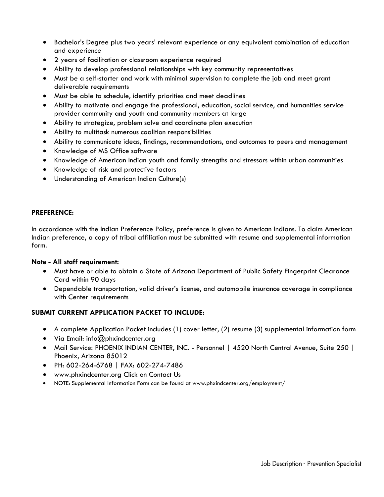- Bachelor's Degree plus two years' relevant experience or any equivalent combination of education and experience
- 2 years of facilitation or classroom experience required
- Ability to develop professional relationships with key community representatives
- Must be a self-starter and work with minimal supervision to complete the job and meet grant deliverable requirements
- Must be able to schedule, identify priorities and meet deadlines
- Ability to motivate and engage the professional, education, social service, and humanities service provider community and youth and community members at large
- Ability to strategize, problem solve and coordinate plan execution
- Ability to multitask numerous coalition responsibilities
- Ability to communicate ideas, findings, recommendations, and outcomes to peers and management
- Knowledge of MS Office software
- Knowledge of American Indian youth and family strengths and stressors within urban communities
- Knowledge of risk and protective factors
- Understanding of American Indian Culture(s)

## **PREFERENCE:**

In accordance with the Indian Preference Policy, preference is given to American Indians. To claim American Indian preference, a copy of tribal affiliation must be submitted with resume and supplemental information form.

## **Note - All staff requirement:**

- Must have or able to obtain a State of Arizona Department of Public Safety Fingerprint Clearance Card within 90 days
- Dependable transportation, valid driver's license, and automobile insurance coverage in compliance with Center requirements

# **SUBMIT CURRENT APPLICATION PACKET TO INCLUDE:**

- A complete Application Packet includes (1) cover letter, (2) resume (3) supplemental information form
- Via Email: info@phxindcenter.org
- Mail Service: PHOENIX INDIAN CENTER, INC. Personnel | 4520 North Central Avenue, Suite 250 | Phoenix, Arizona 85012
- PH: 602-264-6768 | FAX: 602-274-7486
- www.phxindcenter.org Click on Contact Us
- NOTE: Supplemental Information Form can be found at www.phxindcenter.org/employment/